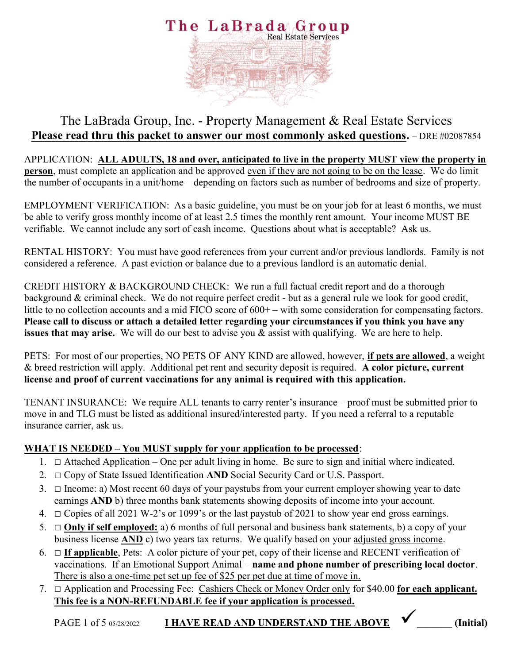

# The LaBrada Group, Inc. - Property Management & Real Estate Services Please read thru this packet to answer our most commonly asked questions. - DRE #02087854

APPLICATION: ALL ADULTS, 18 and over, anticipated to live in the property MUST view the property in person, must complete an application and be approved even if they are not going to be on the lease. We do limit the number of occupants in a unit/home – depending on factors such as number of bedrooms and size of property.

EMPLOYMENT VERIFICATION: As a basic guideline, you must be on your job for at least 6 months, we must be able to verify gross monthly income of at least 2.5 times the monthly rent amount. Your income MUST BE verifiable. We cannot include any sort of cash income. Questions about what is acceptable? Ask us.

RENTAL HISTORY: You must have good references from your current and/or previous landlords. Family is not considered a reference. A past eviction or balance due to a previous landlord is an automatic denial.

CREDIT HISTORY & BACKGROUND CHECK: We run a full factual credit report and do a thorough background & criminal check. We do not require perfect credit - but as a general rule we look for good credit, little to no collection accounts and a mid FICO score of  $600+$  – with some consideration for compensating factors. Please call to discuss or attach a detailed letter regarding your circumstances if you think you have any issues that may arise. We will do our best to advise you & assist with qualifying. We are here to help.

PETS: For most of our properties, NO PETS OF ANY KIND are allowed, however, if pets are allowed, a weight & breed restriction will apply. Additional pet rent and security deposit is required. A color picture, current license and proof of current vaccinations for any animal is required with this application.

TENANT INSURANCE: We require ALL tenants to carry renter's insurance – proof must be submitted prior to move in and TLG must be listed as additional insured/interested party. If you need a referral to a reputable insurance carrier, ask us.

### WHAT IS NEEDED – You MUST supply for your application to be processed:

- 1.  $\Box$  Attached Application One per adult living in home. Be sure to sign and initial where indicated.
- 2.  $\Box$  Copy of State Issued Identification AND Social Security Card or U.S. Passport.
- 3.  $\Box$  Income: a) Most recent 60 days of your paystubs from your current employer showing year to date earnings AND b) three months bank statements showing deposits of income into your account.
- 4.  $\Box$  Copies of all 2021 W-2's or 1099's or the last paystub of 2021 to show year end gross earnings.
- 5.  $\Box$  **Only if self employed:** a) 6 months of full personal and business bank statements, b) a copy of your business license **AND** c) two years tax returns. We qualify based on your adjusted gross income.
- 6.  $\Box$  **If applicable**, Pets: A color picture of your pet, copy of their license and RECENT verification of vaccinations. If an Emotional Support Animal – name and phone number of prescribing local doctor. There is also a one-time pet set up fee of \$25 per pet due at time of move in.
- 7. □ Application and Processing Fee: Cashiers Check or Money Order only for \$40.00 for each applicant. This fee is a NON-REFUNDABLE fee if your application is processed.

PAGE 1 of 5 05/28/2022 **I HAVE READ AND UNDERSTAND THE ABOVE**  $\bigvee$  (Initial)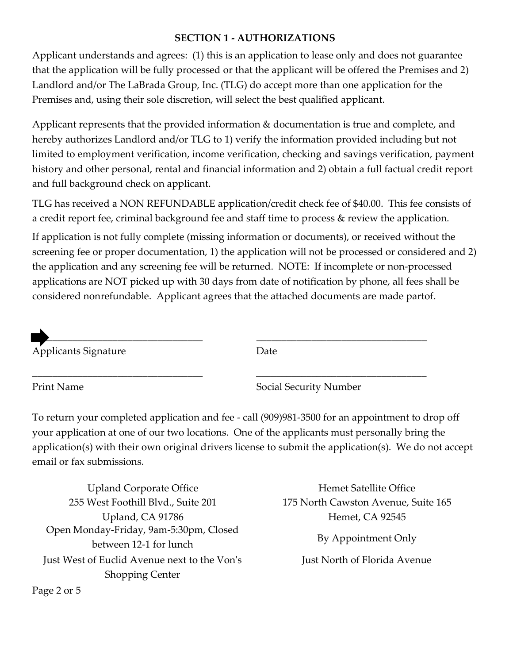### SECTION 1 - AUTHORIZATIONS

Applicant understands and agrees: (1) this is an application to lease only and does not guarantee that the application will be fully processed or that the applicant will be offered the Premises and 2) Landlord and/or The LaBrada Group, Inc. (TLG) do accept more than one application for the Premises and, using their sole discretion, will select the best qualified applicant.

Applicant represents that the provided information & documentation is true and complete, and hereby authorizes Landlord and/or TLG to 1) verify the information provided including but not limited to employment verification, income verification, checking and savings verification, payment history and other personal, rental and financial information and 2) obtain a full factual credit report and full background check on applicant.

TLG has received a NON REFUNDABLE application/credit check fee of \$40.00. This fee consists of a credit report fee, criminal background fee and staff time to process & review the application.

If application is not fully complete (missing information or documents), or received without the screening fee or proper documentation, 1) the application will not be processed or considered and 2) the application and any screening fee will be returned. NOTE: If incomplete or non-processed applications are NOT picked up with 30 days from date of notification by phone, all fees shall be considered nonrefundable. Applicant agrees that the attached documents are made partof.



Print Name Social Security Number

To return your completed application and fee - call (909)981-3500 for an appointment to drop off your application at one of our two locations. One of the applicants must personally bring the application(s) with their own original drivers license to submit the application(s). We do not accept email or fax submissions.

\_\_\_\_\_\_\_\_\_\_\_\_\_\_\_\_\_\_\_\_\_\_\_\_\_\_\_\_\_\_\_\_\_\_ \_\_\_\_\_\_\_\_\_\_\_\_\_\_\_\_\_\_\_\_\_\_\_\_\_\_\_\_\_\_\_\_\_\_

Just West of Euclid Avenue next to the Von's Shopping Center Open Monday-Friday, 9am-5:30pm, Closed between 12-1 for lunch By Appointment Only Upland Corporate Office Hemet Satellite Office 255 West Foothill Blvd., Suite 201 175 North Cawston Avenue, Suite 165 Upland, CA 91786 **Hemet, CA 92545** 

Just North of Florida Avenue

Page 2 or 5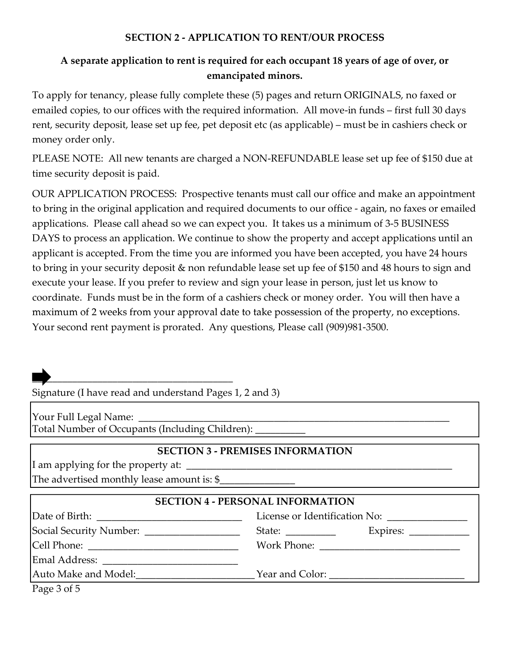### SECTION 2 - APPLICATION TO RENT/OUR PROCESS

## A separate application to rent is required for each occupant 18 years of age of over, or emancipated minors.

To apply for tenancy, please fully complete these (5) pages and return ORIGINALS, no faxed or emailed copies, to our offices with the required information. All move-in funds – first full 30 days rent, security deposit, lease set up fee, pet deposit etc (as applicable) – must be in cashiers check or money order only.

PLEASE NOTE: All new tenants are charged a NON-REFUNDABLE lease set up fee of \$150 due at time security deposit is paid.

OUR APPLICATION PROCESS: Prospective tenants must call our office and make an appointment to bring in the original application and required documents to our office - again, no faxes or emailed applications. Please call ahead so we can expect you. It takes us a minimum of 3-5 BUSINESS DAYS to process an application. We continue to show the property and accept applications until an applicant is accepted. From the time you are informed you have been accepted, you have 24 hours to bring in your security deposit & non refundable lease set up fee of \$150 and 48 hours to sign and execute your lease. If you prefer to review and sign your lease in person, just let us know to coordinate. Funds must be in the form of a cashiers check or money order. You will then have a maximum of 2 weeks from your approval date to take possession of the property, no exceptions. Your second rent payment is prorated. Any questions, Please call (909)981-3500.

Signature (I have read and understand Pages 1, 2 and 3)

Total Number of Occupants (Including Children): Your Full Legal Name:

#### SECTION 3 - PREMISES INFORMATION

The advertised monthly lease amount is:  $\$ I am applying for the property at: \_

| <b>SECTION 4 - PERSONAL INFORMATION</b>          |                                                                                                                                                                                                                                                                                                                                                                                                                          |                                                           |  |  |
|--------------------------------------------------|--------------------------------------------------------------------------------------------------------------------------------------------------------------------------------------------------------------------------------------------------------------------------------------------------------------------------------------------------------------------------------------------------------------------------|-----------------------------------------------------------|--|--|
|                                                  |                                                                                                                                                                                                                                                                                                                                                                                                                          | License or Identification No:                             |  |  |
|                                                  | State: $\frac{1}{\sqrt{1-\frac{1}{2}}}\frac{1}{\sqrt{1-\frac{1}{2}}}\frac{1}{\sqrt{1-\frac{1}{2}}}\frac{1}{\sqrt{1-\frac{1}{2}}}\frac{1}{\sqrt{1-\frac{1}{2}}}\frac{1}{\sqrt{1-\frac{1}{2}}}\frac{1}{\sqrt{1-\frac{1}{2}}}\frac{1}{\sqrt{1-\frac{1}{2}}}\frac{1}{\sqrt{1-\frac{1}{2}}}\frac{1}{\sqrt{1-\frac{1}{2}}}\frac{1}{\sqrt{1-\frac{1}{2}}}\frac{1}{\sqrt{1-\frac{1}{2}}}\frac{1}{\sqrt{1-\frac{1}{2}}}\frac{1}{$ | Expires: $\frac{1}{\sqrt{1-\frac{1}{2}}\cdot\frac{1}{2}}$ |  |  |
|                                                  |                                                                                                                                                                                                                                                                                                                                                                                                                          |                                                           |  |  |
|                                                  |                                                                                                                                                                                                                                                                                                                                                                                                                          |                                                           |  |  |
| Auto Make and Model:                             |                                                                                                                                                                                                                                                                                                                                                                                                                          |                                                           |  |  |
| $D_{\text{max}} \cap \mathcal{A} \subset \Gamma$ |                                                                                                                                                                                                                                                                                                                                                                                                                          |                                                           |  |  |

Page 3 of 5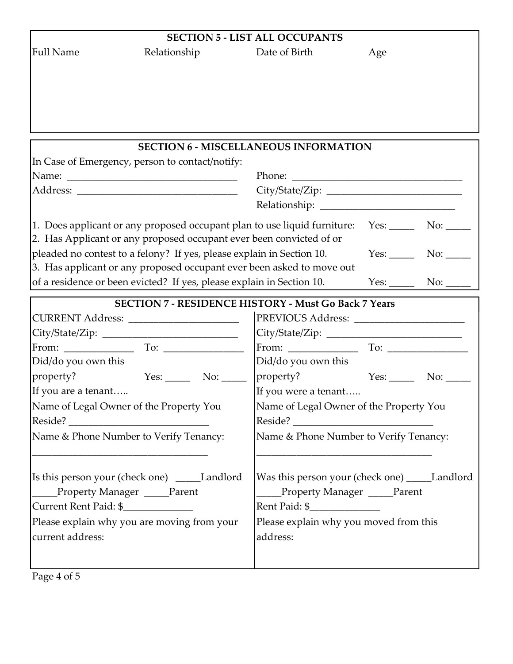| Relationship<br>Date of Birth<br>Age<br><b>SECTION 6 - MISCELLANEOUS INFORMATION</b><br>In Case of Emergency, person to contact/notify:<br>1. Does applicant or any proposed occupant plan to use liquid furniture: Yes: ______ No: _____<br>2. Has Applicant or any proposed occupant ever been convicted of or<br>pleaded no contest to a felony? If yes, please explain in Section 10.<br>3. Has applicant or any proposed occupant ever been asked to move out<br>of a residence or been evicted? If yes, please explain in Section 10.<br><b>SECTION 7 - RESIDENCE HISTORY - Must Go Back 7 Years</b><br>CURRENT Address: ________________________<br>Did/do you own this<br>Did/do you own this<br>property?<br>$Yes:$ No: $\_\_$<br>If you are a tenant<br>If you were a tenant<br>Name of Legal Owner of the Property You<br>Name of Legal Owner of the Property You<br>Reside?<br><u> 1980 - Jan James James Barbara, martin d</u><br>Name & Phone Number to Verify Tenancy:<br>Name & Phone Number to Verify Tenancy:<br>[Is this person your (check one) _____Landlord<br>Was this person your (check one) _____Landlord<br>Property Manager ____Parent<br>Property Manager ____Parent<br>Current Rent Paid: \$_____________<br>Rent Paid: \$_______________<br>Please explain why you moved from this<br>Please explain why you are moving from your<br>address: | <b>SECTION 5 - LIST ALL OCCUPANTS</b> |  |  |  |  |  |
|------------------------------------------------------------------------------------------------------------------------------------------------------------------------------------------------------------------------------------------------------------------------------------------------------------------------------------------------------------------------------------------------------------------------------------------------------------------------------------------------------------------------------------------------------------------------------------------------------------------------------------------------------------------------------------------------------------------------------------------------------------------------------------------------------------------------------------------------------------------------------------------------------------------------------------------------------------------------------------------------------------------------------------------------------------------------------------------------------------------------------------------------------------------------------------------------------------------------------------------------------------------------------------------------------------------------------------------------------------------------------|---------------------------------------|--|--|--|--|--|
|                                                                                                                                                                                                                                                                                                                                                                                                                                                                                                                                                                                                                                                                                                                                                                                                                                                                                                                                                                                                                                                                                                                                                                                                                                                                                                                                                                              | <b>Full Name</b>                      |  |  |  |  |  |
|                                                                                                                                                                                                                                                                                                                                                                                                                                                                                                                                                                                                                                                                                                                                                                                                                                                                                                                                                                                                                                                                                                                                                                                                                                                                                                                                                                              |                                       |  |  |  |  |  |
|                                                                                                                                                                                                                                                                                                                                                                                                                                                                                                                                                                                                                                                                                                                                                                                                                                                                                                                                                                                                                                                                                                                                                                                                                                                                                                                                                                              |                                       |  |  |  |  |  |
|                                                                                                                                                                                                                                                                                                                                                                                                                                                                                                                                                                                                                                                                                                                                                                                                                                                                                                                                                                                                                                                                                                                                                                                                                                                                                                                                                                              |                                       |  |  |  |  |  |
|                                                                                                                                                                                                                                                                                                                                                                                                                                                                                                                                                                                                                                                                                                                                                                                                                                                                                                                                                                                                                                                                                                                                                                                                                                                                                                                                                                              |                                       |  |  |  |  |  |
|                                                                                                                                                                                                                                                                                                                                                                                                                                                                                                                                                                                                                                                                                                                                                                                                                                                                                                                                                                                                                                                                                                                                                                                                                                                                                                                                                                              |                                       |  |  |  |  |  |
|                                                                                                                                                                                                                                                                                                                                                                                                                                                                                                                                                                                                                                                                                                                                                                                                                                                                                                                                                                                                                                                                                                                                                                                                                                                                                                                                                                              |                                       |  |  |  |  |  |
|                                                                                                                                                                                                                                                                                                                                                                                                                                                                                                                                                                                                                                                                                                                                                                                                                                                                                                                                                                                                                                                                                                                                                                                                                                                                                                                                                                              |                                       |  |  |  |  |  |
|                                                                                                                                                                                                                                                                                                                                                                                                                                                                                                                                                                                                                                                                                                                                                                                                                                                                                                                                                                                                                                                                                                                                                                                                                                                                                                                                                                              |                                       |  |  |  |  |  |
|                                                                                                                                                                                                                                                                                                                                                                                                                                                                                                                                                                                                                                                                                                                                                                                                                                                                                                                                                                                                                                                                                                                                                                                                                                                                                                                                                                              |                                       |  |  |  |  |  |
|                                                                                                                                                                                                                                                                                                                                                                                                                                                                                                                                                                                                                                                                                                                                                                                                                                                                                                                                                                                                                                                                                                                                                                                                                                                                                                                                                                              |                                       |  |  |  |  |  |
|                                                                                                                                                                                                                                                                                                                                                                                                                                                                                                                                                                                                                                                                                                                                                                                                                                                                                                                                                                                                                                                                                                                                                                                                                                                                                                                                                                              |                                       |  |  |  |  |  |
|                                                                                                                                                                                                                                                                                                                                                                                                                                                                                                                                                                                                                                                                                                                                                                                                                                                                                                                                                                                                                                                                                                                                                                                                                                                                                                                                                                              |                                       |  |  |  |  |  |
|                                                                                                                                                                                                                                                                                                                                                                                                                                                                                                                                                                                                                                                                                                                                                                                                                                                                                                                                                                                                                                                                                                                                                                                                                                                                                                                                                                              |                                       |  |  |  |  |  |
|                                                                                                                                                                                                                                                                                                                                                                                                                                                                                                                                                                                                                                                                                                                                                                                                                                                                                                                                                                                                                                                                                                                                                                                                                                                                                                                                                                              |                                       |  |  |  |  |  |
|                                                                                                                                                                                                                                                                                                                                                                                                                                                                                                                                                                                                                                                                                                                                                                                                                                                                                                                                                                                                                                                                                                                                                                                                                                                                                                                                                                              |                                       |  |  |  |  |  |
|                                                                                                                                                                                                                                                                                                                                                                                                                                                                                                                                                                                                                                                                                                                                                                                                                                                                                                                                                                                                                                                                                                                                                                                                                                                                                                                                                                              |                                       |  |  |  |  |  |
|                                                                                                                                                                                                                                                                                                                                                                                                                                                                                                                                                                                                                                                                                                                                                                                                                                                                                                                                                                                                                                                                                                                                                                                                                                                                                                                                                                              |                                       |  |  |  |  |  |
|                                                                                                                                                                                                                                                                                                                                                                                                                                                                                                                                                                                                                                                                                                                                                                                                                                                                                                                                                                                                                                                                                                                                                                                                                                                                                                                                                                              |                                       |  |  |  |  |  |
|                                                                                                                                                                                                                                                                                                                                                                                                                                                                                                                                                                                                                                                                                                                                                                                                                                                                                                                                                                                                                                                                                                                                                                                                                                                                                                                                                                              |                                       |  |  |  |  |  |
|                                                                                                                                                                                                                                                                                                                                                                                                                                                                                                                                                                                                                                                                                                                                                                                                                                                                                                                                                                                                                                                                                                                                                                                                                                                                                                                                                                              |                                       |  |  |  |  |  |
|                                                                                                                                                                                                                                                                                                                                                                                                                                                                                                                                                                                                                                                                                                                                                                                                                                                                                                                                                                                                                                                                                                                                                                                                                                                                                                                                                                              | property?                             |  |  |  |  |  |
|                                                                                                                                                                                                                                                                                                                                                                                                                                                                                                                                                                                                                                                                                                                                                                                                                                                                                                                                                                                                                                                                                                                                                                                                                                                                                                                                                                              |                                       |  |  |  |  |  |
|                                                                                                                                                                                                                                                                                                                                                                                                                                                                                                                                                                                                                                                                                                                                                                                                                                                                                                                                                                                                                                                                                                                                                                                                                                                                                                                                                                              |                                       |  |  |  |  |  |
|                                                                                                                                                                                                                                                                                                                                                                                                                                                                                                                                                                                                                                                                                                                                                                                                                                                                                                                                                                                                                                                                                                                                                                                                                                                                                                                                                                              |                                       |  |  |  |  |  |
|                                                                                                                                                                                                                                                                                                                                                                                                                                                                                                                                                                                                                                                                                                                                                                                                                                                                                                                                                                                                                                                                                                                                                                                                                                                                                                                                                                              |                                       |  |  |  |  |  |
|                                                                                                                                                                                                                                                                                                                                                                                                                                                                                                                                                                                                                                                                                                                                                                                                                                                                                                                                                                                                                                                                                                                                                                                                                                                                                                                                                                              |                                       |  |  |  |  |  |
|                                                                                                                                                                                                                                                                                                                                                                                                                                                                                                                                                                                                                                                                                                                                                                                                                                                                                                                                                                                                                                                                                                                                                                                                                                                                                                                                                                              |                                       |  |  |  |  |  |
|                                                                                                                                                                                                                                                                                                                                                                                                                                                                                                                                                                                                                                                                                                                                                                                                                                                                                                                                                                                                                                                                                                                                                                                                                                                                                                                                                                              |                                       |  |  |  |  |  |
|                                                                                                                                                                                                                                                                                                                                                                                                                                                                                                                                                                                                                                                                                                                                                                                                                                                                                                                                                                                                                                                                                                                                                                                                                                                                                                                                                                              |                                       |  |  |  |  |  |
|                                                                                                                                                                                                                                                                                                                                                                                                                                                                                                                                                                                                                                                                                                                                                                                                                                                                                                                                                                                                                                                                                                                                                                                                                                                                                                                                                                              |                                       |  |  |  |  |  |
|                                                                                                                                                                                                                                                                                                                                                                                                                                                                                                                                                                                                                                                                                                                                                                                                                                                                                                                                                                                                                                                                                                                                                                                                                                                                                                                                                                              | current address:                      |  |  |  |  |  |
|                                                                                                                                                                                                                                                                                                                                                                                                                                                                                                                                                                                                                                                                                                                                                                                                                                                                                                                                                                                                                                                                                                                                                                                                                                                                                                                                                                              |                                       |  |  |  |  |  |
|                                                                                                                                                                                                                                                                                                                                                                                                                                                                                                                                                                                                                                                                                                                                                                                                                                                                                                                                                                                                                                                                                                                                                                                                                                                                                                                                                                              | Page 4 of 5                           |  |  |  |  |  |